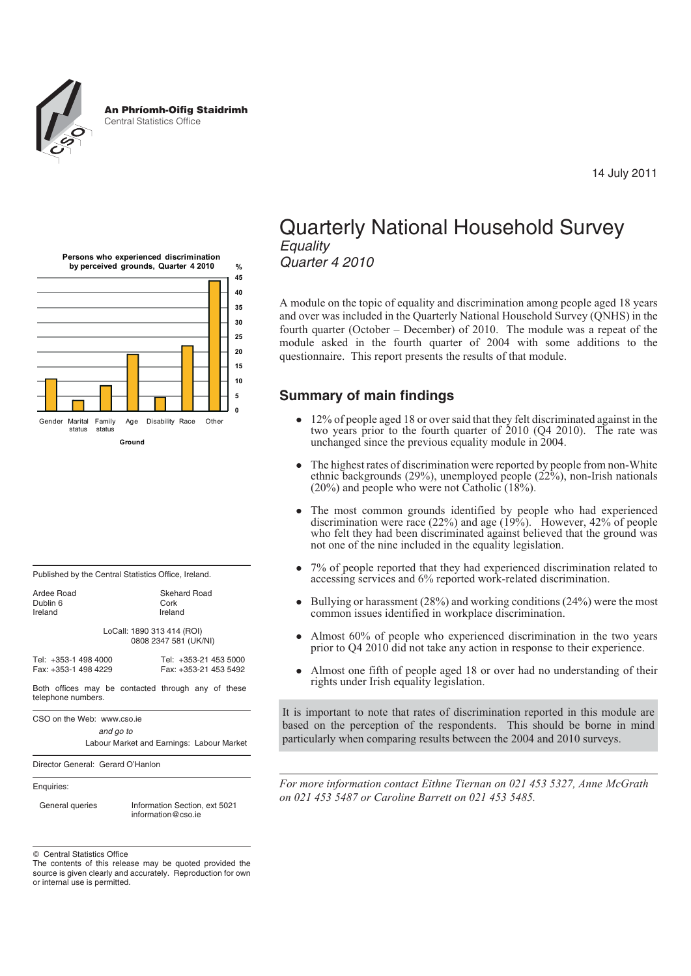

**%**





| Published by the Central Statistics Office, Ireland. |  |
|------------------------------------------------------|--|
|                                                      |  |

| Ardee Road | Sker   |
|------------|--------|
| Dublin 6   | Cork   |
| Ireland    | Irelar |

Ireland LoCall: 1890 313 414 (ROI)

Skehard Road<br>Cork

0808 2347 581 (UK/NI) Tel: +353-1 498 4000 Tel: +353-21 453 5000

Fax: +353-1 498 4229

Both offices may be contacted through any of these telephone numbers.

CSO on the Web: www.cso.ie

*and go to*

Labour Market and Earnings: Labour Market

Director General: Gerard O'Hanlon

Enquiries:

General queries Information Section, ext 5021 information@cso.ie

 $©$  Central Statistics Office

# Quarterly National Household Survey *Equality Quarter 4 2010*

A module on the topic of equality and discrimination among people aged 18 years and over was included in the Quarterly National Household Survey (QNHS) in the fourth quarter (October – December) of 2010. The module was a repeat of the module asked in the fourth quarter of 2004 with some additions to the questionnaire. This report presents the results of that module.

# **Summary of main findings**

- 12% of people aged 18 or over said that they felt discriminated against in the two years prior to the fourth quarter of 2010 (Q4 2010). The rate was unchanged since the previous equality module in 2004.
- $\bullet$  The highest rates of discrimination were reported by people from non-White ethnic backgrounds (29%), unemployed people ( $22\%$ ), non-Irish nationals (20%) and people who were not Catholic (18%).
- $\bullet$  The most common grounds identified by people who had experienced discrimination were race  $(22%)$  and age  $(19%)$ . However,  $42%$  of people who felt they had been discriminated against believed that the ground was not one of the nine included in the equality legislation.
- $\bullet$  7% of people reported that they had experienced discrimination related to accessing services and 6% reported work-related discrimination.
- $\bullet$  Bullying or harassment (28%) and working conditions (24%) were the most common issues identified in workplace discrimination.
- $\bullet$  Almost 60% of people who experienced discrimination in the two years prior to Q4 2010 did not take any action in response to their experience.
- - Almost one fifth of people aged 18 or over had no understanding of their rights under Irish equality legislation.

It is important to note that rates of discrimination reported in this module are based on the perception of the respondents. This should be borne in mind particularly when comparing results between the 2004 and 2010 surveys.

*For more information contact Eithne Tiernan on 021 453 5327, Anne McGrath on 021 453 5487 or Caroline Barrett on 021 453 5485.*

The contents of this release may be quoted provided the source is given clearly and accurately. Reproduction for own or internal use is permitted.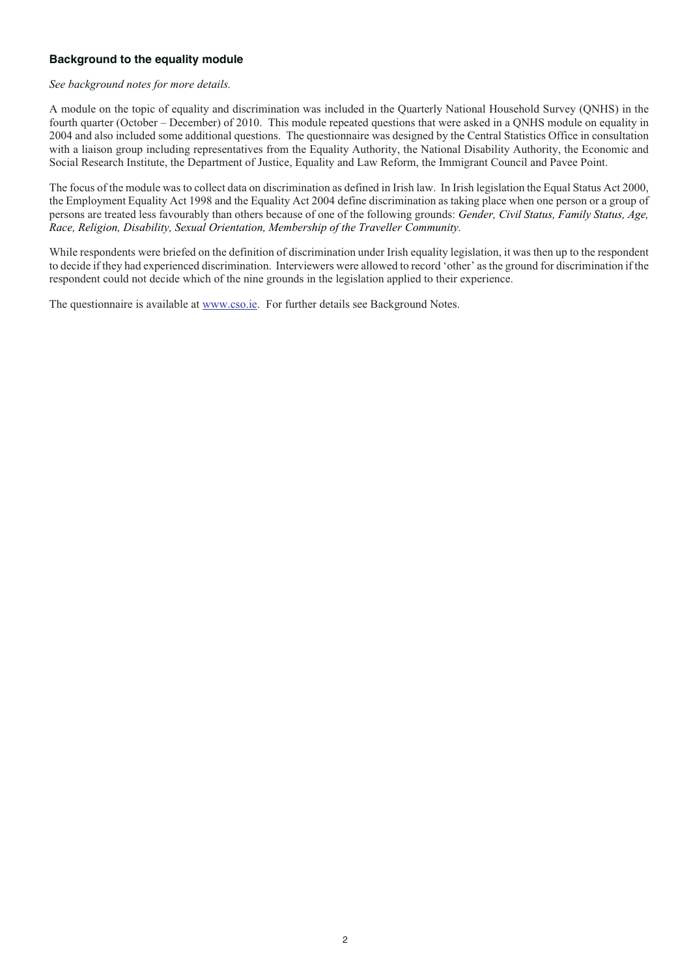# **Background to the equality module**

#### *See background notes for more details.*

A module on the topic of equality and discrimination was included in the Quarterly National Household Survey (QNHS) in the fourth quarter (October – December) of 2010. This module repeated questions that were asked in a QNHS module on equality in 2004 and also included some additional questions. The questionnaire was designed by the Central Statistics Office in consultation with a liaison group including representatives from the Equality Authority, the National Disability Authority, the Economic and Social Research Institute, the Department of Justice, Equality and Law Reform, the Immigrant Council and Pavee Point.

The focus of the module was to collect data on discrimination as defined in Irish law. In Irish legislation the Equal Status Act 2000, the Employment Equality Act 1998 and the Equality Act 2004 define discrimination as taking place when one person or a group of persons are treated less favourably than others because of one of the following grounds: *Gender, Civil Status, Family Status, Age, Race, Religion, Disability, Sexual Orientation, Membership of the Traveller Community.*

While respondents were briefed on the definition of discrimination under Irish equality legislation, it was then up to the respondent to decide if they had experienced discrimination. Interviewers were allowed to record 'other' as the ground for discrimination if the respondent could not decide which of the nine grounds in the legislation applied to their experience.

The questionnaire is available at www.cso.ie. For further details see Background Notes.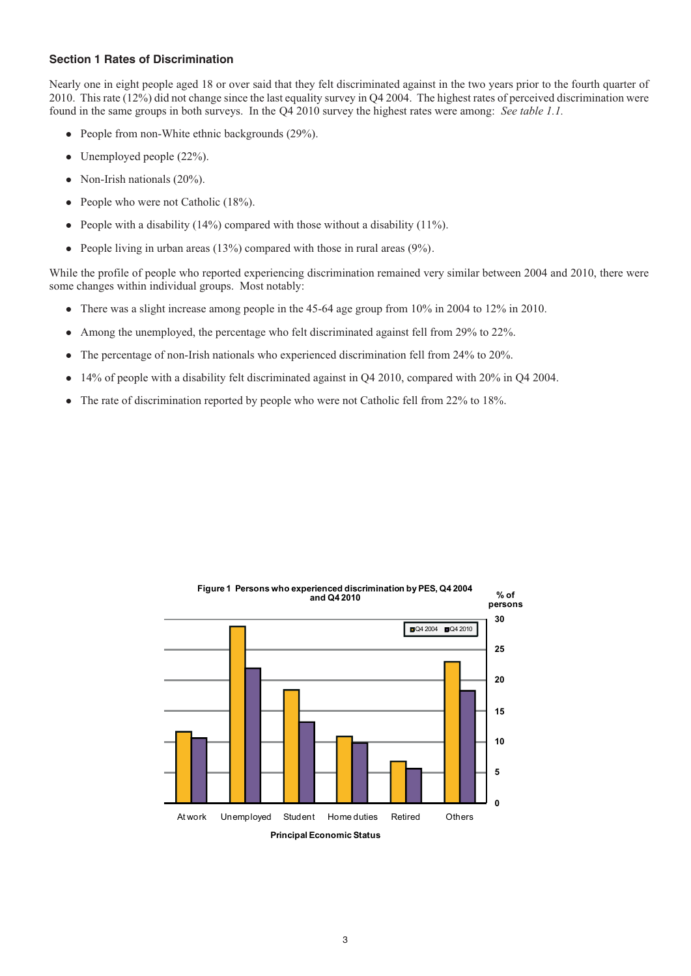#### **Section 1 Rates of Discrimination**

Nearly one in eight people aged 18 or over said that they felt discriminated against in the two years prior to the fourth quarter of 2010. This rate (12%) did not change since the last equality survey in Q4 2004. The highest rates of perceived discrimination were found in the same groups in both surveys. In the Q4 2010 survey the highest rates were among: *See table 1.1.*

- People from non-White ethnic backgrounds (29%).
- Unemployed people (22%).
- Non-Irish nationals (20%).
- People who were not Catholic (18%).
- People with a disability  $(14\%)$  compared with those without a disability  $(11\%)$ .
- $\bullet$ People living in urban areas (13%) compared with those in rural areas (9%).

While the profile of people who reported experiencing discrimination remained very similar between 2004 and 2010, there were some changes within individual groups. Most notably:

- There was a slight increase among people in the 45-64 age group from 10% in 2004 to 12% in 2010.
- Among the unemployed, the percentage who felt discriminated against fell from 29% to 22%.
- $\bullet$ The percentage of non-Irish nationals who experienced discrimination fell from 24% to 20%.
- -14% of people with a disability felt discriminated against in Q4 2010, compared with 20% in Q4 2004.
- The rate of discrimination reported by people who were not Catholic fell from 22% to 18%.

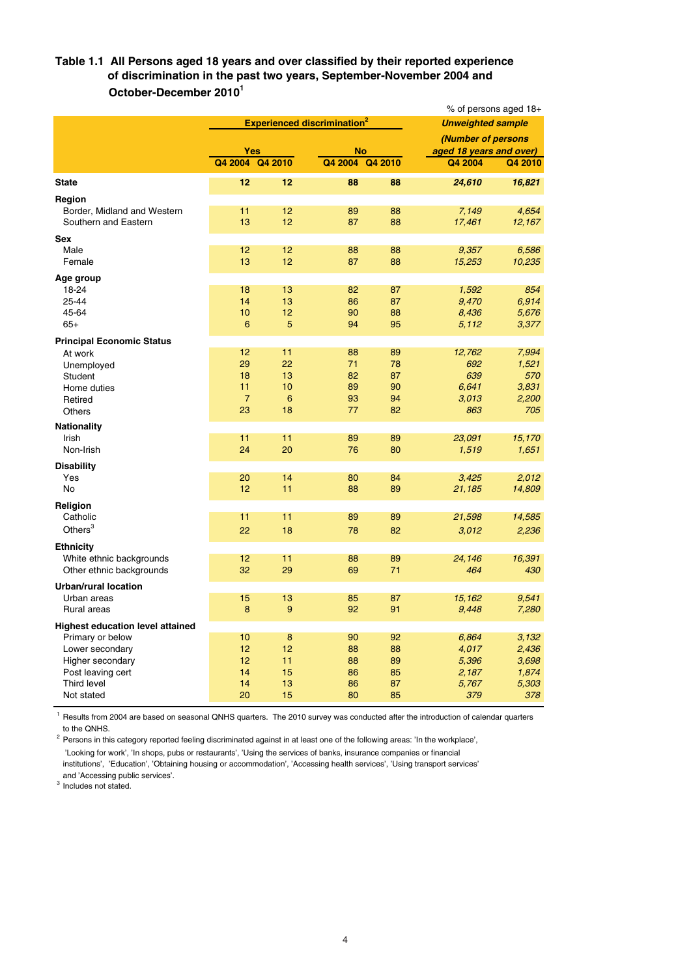### **Table 1.1 All Persons aged 18 years and over classified by their reported experience of discrimination in the past two years, September-November 2004 and October-December 20101**

|                                         |                |                 |                                               | % of persons aged 18+ |                         |                          |  |
|-----------------------------------------|----------------|-----------------|-----------------------------------------------|-----------------------|-------------------------|--------------------------|--|
|                                         |                |                 | <b>Experienced discrimination<sup>2</sup></b> |                       |                         | <b>Unweighted sample</b> |  |
|                                         |                |                 |                                               |                       | (Number of persons      |                          |  |
|                                         | <b>Yes</b>     |                 | <b>No</b>                                     |                       | aged 18 years and over) |                          |  |
|                                         | Q4 2004        | Q4 2010         |                                               | Q4 2004 Q4 2010       | Q4 2004                 | Q4 2010                  |  |
| <b>State</b>                            | 12             | 12              | 88                                            | 88                    | 24,610                  | 16,821                   |  |
| Region                                  |                |                 |                                               |                       |                         |                          |  |
| Border, Midland and Western             | 11             | 12              | 89                                            | 88                    | 7,149                   | 4,654                    |  |
| Southern and Eastern                    | 13             | 12              | 87                                            | 88                    | 17,461                  | 12,167                   |  |
| <b>Sex</b>                              |                |                 |                                               |                       |                         |                          |  |
| Male                                    | 12             | 12              | 88                                            | 88                    | 9,357                   | 6,586                    |  |
| Female                                  | 13             | 12              | 87                                            | 88                    | 15,253                  | 10,235                   |  |
| Age group                               |                |                 |                                               |                       |                         |                          |  |
| 18-24                                   | 18             | 13              | 82                                            | 87                    | 1,592                   | 854                      |  |
| 25-44                                   | 14             | 13              | 86                                            | 87                    | 9,470                   | 6.914                    |  |
| 45-64                                   | 10             | 12              | 90                                            | 88                    | 8,436                   | 5,676                    |  |
| $65+$                                   | 6              | 5               | 94                                            | 95                    | 5,112                   | 3,377                    |  |
| <b>Principal Economic Status</b>        |                |                 |                                               |                       |                         |                          |  |
| At work                                 | 12             | 11              | 88                                            | 89                    | 12,762                  | 7,994                    |  |
| Unemployed                              | 29             | 22              | 71                                            | 78                    | 692                     | 1,521                    |  |
| Student                                 | 18             | 13              | 82                                            | 87                    | 639                     | 570                      |  |
| Home duties                             | 11             | 10              | 89                                            | 90                    | 6,641                   | 3,831                    |  |
| Retired                                 | $\overline{7}$ | $6\phantom{1}6$ | 93                                            | 94                    | 3,013                   | 2,200                    |  |
| Others                                  | 23             | 18              | 77                                            | 82                    | 863                     | 705                      |  |
| Nationality                             |                |                 |                                               |                       |                         |                          |  |
| Irish                                   | 11             | 11              | 89                                            | 89                    | 23,091                  | 15,170                   |  |
| Non-Irish                               | 24             | 20              | 76                                            | 80                    | 1,519                   | 1,651                    |  |
| <b>Disability</b>                       |                |                 |                                               |                       |                         |                          |  |
| Yes                                     | 20             | 14              | 80                                            | 84                    | 3,425                   | 2,012                    |  |
| <b>No</b>                               | 12             | 11              | 88                                            | 89                    | 21,185                  | 14,809                   |  |
| Religion                                |                |                 |                                               |                       |                         |                          |  |
| Catholic                                | 11             | 11              | 89                                            | 89                    | 21,598                  | 14,585                   |  |
| Others <sup>3</sup>                     | 22             | 18              | 78                                            | 82                    | 3,012                   | 2,236                    |  |
| <b>Ethnicity</b>                        |                |                 |                                               |                       |                         |                          |  |
| White ethnic backgrounds                | 12             | 11              | 88                                            | 89                    | 24,146                  | 16,391                   |  |
| Other ethnic backgrounds                | 32             | 29              | 69                                            | 71                    | 464                     | 430                      |  |
| <b>Urban/rural location</b>             |                |                 |                                               |                       |                         |                          |  |
| Urban areas                             | 15             | 13              | 85                                            | 87                    | 15,162                  | 9,541                    |  |
| Rural areas                             | 8              | 9               | 92                                            | 91                    | 9,448                   | 7,280                    |  |
| <b>Highest education level attained</b> |                |                 |                                               |                       |                         |                          |  |
| Primary or below                        | 10             | 8               | 90                                            | 92                    | 6,864                   | 3,132                    |  |
| Lower secondary                         | 12             | 12              | 88                                            | 88                    | 4,017                   | 2,436                    |  |
| Higher secondary                        | 12             | 11              | 88                                            | 89                    | 5,396                   | 3.698                    |  |
| Post leaving cert                       | 14             | 15              | 86                                            | 85                    | 2,187                   | 1,874                    |  |
| Third level                             | 14             | 13              | 86                                            | 87                    | 5,767                   | 5,303                    |  |
| Not stated                              | 20             | 15              | 80                                            | 85                    | 379                     | 378                      |  |

<sup>1</sup> Results from 2004 are based on seasonal QNHS quarters. The 2010 survey was conducted after the introduction of calendar quarters to the QNHS.

<sup>2</sup> Persons in this category reported feeling discriminated against in at least one of the following areas: 'In the workplace', 'Looking for work', 'In shops, pubs or restaurants', 'Using the services of banks, insurance companies or financial institutions', 'Education', 'Obtaining housing or accommodation', 'Accessing health services', 'Using transport services'

and 'Accessing public services'.

<sup>3</sup> Includes not stated.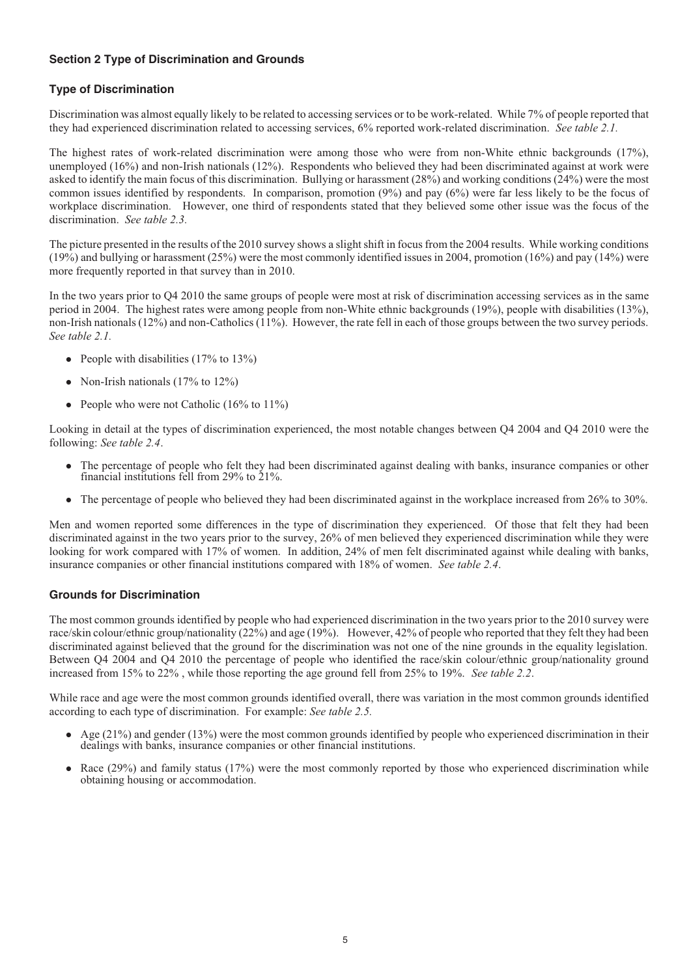# **Section 2 Type of Discrimination and Grounds**

# **Type of Discrimination**

Discrimination was almost equally likely to be related to accessing services or to be work-related. While 7% of people reported that they had experienced discrimination related to accessing services, 6% reported work-related discrimination. *See table 2.1.*

The highest rates of work-related discrimination were among those who were from non-White ethnic backgrounds (17%), unemployed (16%) and non-Irish nationals (12%). Respondents who believed they had been discriminated against at work were asked to identify the main focus of this discrimination. Bullying or harassment (28%) and working conditions (24%) were the most common issues identified by respondents. In comparison, promotion (9%) and pay (6%) were far less likely to be the focus of workplace discrimination. However, one third of respondents stated that they believed some other issue was the focus of the discrimination. *See table 2.3.*

The picture presented in the results of the 2010 survey shows a slight shift in focus from the 2004 results. While working conditions (19%) and bullying or harassment (25%) were the most commonly identified issues in 2004, promotion (16%) and pay (14%) were more frequently reported in that survey than in 2010.

In the two years prior to Q4 2010 the same groups of people were most at risk of discrimination accessing services as in the same period in 2004. The highest rates were among people from non-White ethnic backgrounds (19%), people with disabilities (13%), non-Irish nationals (12%) and non-Catholics (11%). However, the rate fell in each of those groups between the two survey periods. *See table 2.1.*

- People with disabilities (17% to 13%)
- Non-Irish nationals (17% to 12%)
- People who were not Catholic (16% to 11%)

Looking in detail at the types of discrimination experienced, the most notable changes between Q4 2004 and Q4 2010 were the following: *See table 2.4*.

- $\bullet$  The percentage of people who felt they had been discriminated against dealing with banks, insurance companies or other financial institutions fell from 29% to 21%.
- The percentage of people who believed they had been discriminated against in the workplace increased from 26% to 30%.

Men and women reported some differences in the type of discrimination they experienced. Of those that felt they had been discriminated against in the two years prior to the survey, 26% of men believed they experienced discrimination while they were looking for work compared with 17% of women. In addition, 24% of men felt discriminated against while dealing with banks, insurance companies or other financial institutions compared with 18% of women. *See table 2.4*.

### **Grounds for Discrimination**

The most common grounds identified by people who had experienced discrimination in the two years prior to the 2010 survey were race/skin colour/ethnic group/nationality (22%) and age (19%). However, 42% of people who reported that they felt they had been discriminated against believed that the ground for the discrimination was not one of the nine grounds in the equality legislation. Between Q4 2004 and Q4 2010 the percentage of people who identified the race/skin colour/ethnic group/nationality ground increased from 15% to 22% , while those reporting the age ground fell from 25% to 19%. *See table 2.2*.

While race and age were the most common grounds identified overall, there was variation in the most common grounds identified according to each type of discrimination. For example: *See table 2.5.*

- Age (21%) and gender (13%) were the most common grounds identified by people who experienced discrimination in their dealings with banks, insurance companies or other financial institutions.
- Race (29%) and family status (17%) were the most commonly reported by those who experienced discrimination while obtaining housing or accommodation.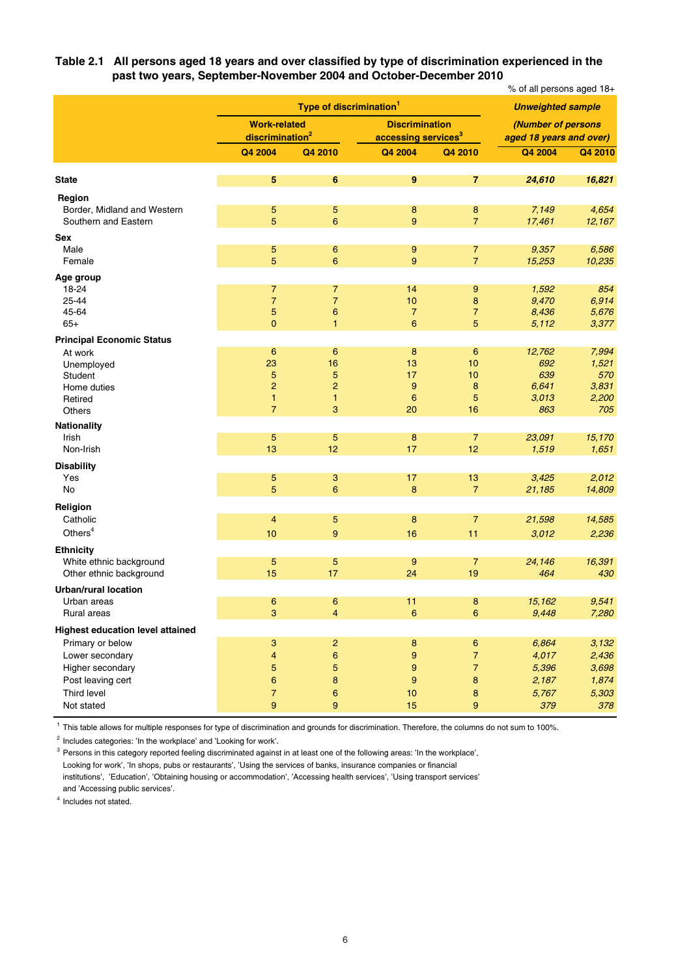**Table 2.1 All persons aged 18 years and over classified by type of discrimination experienced in the past two years, September-November 2004 and October-December 2010**

|                                                     |                             | Type of discrimination <sup>1</sup> |                                 |                     |                                                                                                                                                                                                                                                                                                                                                                       |                 |
|-----------------------------------------------------|-----------------------------|-------------------------------------|---------------------------------|---------------------|-----------------------------------------------------------------------------------------------------------------------------------------------------------------------------------------------------------------------------------------------------------------------------------------------------------------------------------------------------------------------|-----------------|
|                                                     | <b>Work-related</b>         |                                     | <b>Discrimination</b>           |                     |                                                                                                                                                                                                                                                                                                                                                                       |                 |
|                                                     | discrimination <sup>2</sup> |                                     | accessing services <sup>3</sup> |                     | % of all persons aged 18+<br><b>Unweighted sample</b><br>(Number of persons<br>aged 18 years and over)<br>Q4 2004<br>24,610<br>7,149<br>17,461<br>9,357<br>15,253<br>1,592<br>9,470<br>8,436<br>5,112<br>12,762<br>692<br>639<br>6,641<br>3,013<br>863<br>23,091<br>1,519<br>3,425<br>21,185<br>21,598<br>3,012<br>24,146<br>464<br>15,162<br>9,448<br>6,864<br>4,017 |                 |
|                                                     | Q4 2004                     | Q4 2010                             | Q4 2004                         | Q4 2010             |                                                                                                                                                                                                                                                                                                                                                                       | Q4 2010         |
| <b>State</b>                                        | 5                           | 6                                   | 9                               | $\overline{7}$      |                                                                                                                                                                                                                                                                                                                                                                       | 16,821          |
| Region                                              |                             |                                     |                                 |                     |                                                                                                                                                                                                                                                                                                                                                                       |                 |
| Border, Midland and Western<br>Southern and Eastern | 5<br>5                      | 5<br>$6\phantom{1}$                 | 8<br>9                          | 8<br>$\overline{7}$ |                                                                                                                                                                                                                                                                                                                                                                       | 4,654<br>12,167 |
| Sex                                                 |                             |                                     |                                 |                     |                                                                                                                                                                                                                                                                                                                                                                       |                 |
| Male<br>Female                                      | 5<br>5                      | 6<br>6                              | 9<br>9                          | 7<br>$\overline{7}$ |                                                                                                                                                                                                                                                                                                                                                                       | 6,586<br>10,235 |
| Age group                                           |                             |                                     |                                 |                     |                                                                                                                                                                                                                                                                                                                                                                       |                 |
| 18-24                                               | 7                           | $\overline{7}$                      | 14                              | 9                   |                                                                                                                                                                                                                                                                                                                                                                       | 854             |
| 25-44<br>45-64                                      | $\overline{7}$<br>5         | $\overline{7}$<br>6                 | 10<br>$\overline{7}$            | 8<br>$\overline{7}$ |                                                                                                                                                                                                                                                                                                                                                                       | 6,914<br>5,676  |
| $65+$                                               | 0                           | 1                                   | 6                               | 5                   |                                                                                                                                                                                                                                                                                                                                                                       | 3,377           |
| <b>Principal Economic Status</b>                    |                             |                                     |                                 |                     |                                                                                                                                                                                                                                                                                                                                                                       |                 |
| At work                                             | $6\phantom{1}6$             | 6                                   | 8                               | 6                   |                                                                                                                                                                                                                                                                                                                                                                       | 7,994           |
| Unemployed                                          | 23                          | 16                                  | 13                              | 10                  |                                                                                                                                                                                                                                                                                                                                                                       | 1,521           |
| Student                                             | 5<br>$\overline{a}$         | 5<br>$\overline{c}$                 | 17<br>9                         | 10<br>8             |                                                                                                                                                                                                                                                                                                                                                                       | 570<br>3,831    |
| Home duties<br>Retired                              | 1                           | $\mathbf{1}$                        | 6                               | 5                   |                                                                                                                                                                                                                                                                                                                                                                       | 2,200           |
| <b>Others</b>                                       | $\overline{7}$              | 3                                   | 20                              | 16                  |                                                                                                                                                                                                                                                                                                                                                                       | 705             |
| <b>Nationality</b>                                  |                             |                                     |                                 |                     |                                                                                                                                                                                                                                                                                                                                                                       |                 |
| Irish                                               | 5                           | 5                                   | 8                               | $\overline{7}$      |                                                                                                                                                                                                                                                                                                                                                                       | 15,170          |
| Non-Irish                                           | 13                          | 12                                  | 17                              | 12                  |                                                                                                                                                                                                                                                                                                                                                                       | 1,651           |
| <b>Disability</b>                                   |                             |                                     |                                 |                     |                                                                                                                                                                                                                                                                                                                                                                       |                 |
| Yes                                                 | 5                           | 3                                   | 17                              | 13                  |                                                                                                                                                                                                                                                                                                                                                                       | 2,012           |
| No                                                  | 5                           | 6                                   | 8                               | $\overline{7}$      |                                                                                                                                                                                                                                                                                                                                                                       | 14,809          |
| Religion                                            |                             |                                     |                                 |                     |                                                                                                                                                                                                                                                                                                                                                                       |                 |
| Catholic                                            | 4                           | 5                                   | 8                               | $\overline{7}$      |                                                                                                                                                                                                                                                                                                                                                                       | 14,585          |
| Others <sup>4</sup>                                 | 10                          | 9                                   | 16                              | 11                  |                                                                                                                                                                                                                                                                                                                                                                       | 2,236           |
| <b>Ethnicity</b>                                    |                             |                                     |                                 |                     |                                                                                                                                                                                                                                                                                                                                                                       |                 |
| White ethnic background                             | 5                           | 5                                   | 9                               | 7                   |                                                                                                                                                                                                                                                                                                                                                                       | 16,391          |
| Other ethnic background                             | 15                          | 17                                  | 24                              | 19                  |                                                                                                                                                                                                                                                                                                                                                                       | 430             |
| <b>Urban/rural location</b>                         |                             |                                     |                                 |                     |                                                                                                                                                                                                                                                                                                                                                                       |                 |
| Urban areas<br>Rural areas                          | 6<br>3                      | 6<br>$\overline{4}$                 | 11<br>6                         | 8<br>6              |                                                                                                                                                                                                                                                                                                                                                                       | 9,541<br>7,280  |
| <b>Highest education level attained</b>             |                             |                                     |                                 |                     |                                                                                                                                                                                                                                                                                                                                                                       |                 |
| Primary or below                                    | 3                           | $\overline{c}$                      | 8                               | 6                   |                                                                                                                                                                                                                                                                                                                                                                       | 3,132           |
| Lower secondary                                     | 4                           | $\mathbf 6$                         | 9                               | $\overline{7}$      |                                                                                                                                                                                                                                                                                                                                                                       | 2,436           |
| Higher secondary                                    | 5                           | 5                                   | $\boldsymbol{9}$                | $\overline{7}$      | 5,396                                                                                                                                                                                                                                                                                                                                                                 | 3,698           |
| Post leaving cert                                   | $\mathbf 6$                 | $\bf8$                              | $\boldsymbol{9}$                | 8                   | 2,187                                                                                                                                                                                                                                                                                                                                                                 | 1,874           |
| Third level                                         | $\overline{7}$              | 6                                   | 10                              | 8                   | 5,767                                                                                                                                                                                                                                                                                                                                                                 | 5,303           |
| Not stated                                          | 9                           | $\boldsymbol{9}$                    | 15                              | 9                   | 379                                                                                                                                                                                                                                                                                                                                                                   | 378             |

<sup>1</sup> This table allows for multiple responses for type of discrimination and grounds for discrimination. Therefore, the columns do not sum to 100%.

 $2$  Includes categories: 'In the workplace' and 'Looking for work'.

<sup>3</sup> Persons in this category reported feeling discriminated against in at least one of the following areas: 'In the workplace', Looking for work', 'In shops, pubs or restaurants', 'Using the services of banks, insurance companies or financial institutions', 'Education', 'Obtaining housing or accommodation', 'Accessing health services', 'Using transport services' and 'Accessing public services'.

<sup>4</sup> Includes not stated.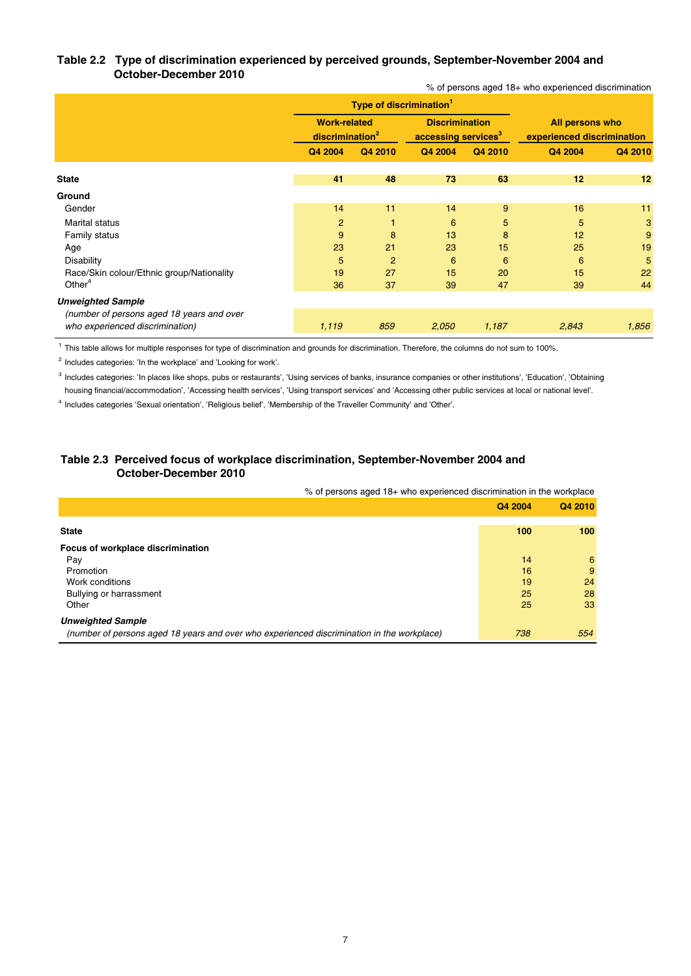#### **Table 2.2 Type of discrimination experienced by perceived grounds, September-November 2004 and October-December 2010** % of persons aged 18+ who experienced discrimination

|                                                                              |                                                    | Type of discrimination <sup>1</sup> |                                                          |         |                                               |         |  |
|------------------------------------------------------------------------------|----------------------------------------------------|-------------------------------------|----------------------------------------------------------|---------|-----------------------------------------------|---------|--|
|                                                                              | <b>Work-related</b><br>discrimination <sup>2</sup> |                                     | <b>Discrimination</b><br>accessing services <sup>3</sup> |         | All persons who<br>experienced discrimination |         |  |
|                                                                              | Q4 2004                                            | Q4 2010                             | Q4 2004                                                  | Q4 2010 | Q4 2004                                       | Q4 2010 |  |
| <b>State</b>                                                                 | 41                                                 | 48                                  | 73                                                       | 63      | 12                                            | 12      |  |
| Ground                                                                       |                                                    |                                     |                                                          |         |                                               |         |  |
| Gender                                                                       | 14                                                 | 11                                  | 14                                                       | 9       | 16                                            | 11      |  |
| <b>Marital status</b>                                                        | $\overline{2}$                                     | 1                                   | 6                                                        | 5       | 5                                             | 3       |  |
| Family status                                                                | 9                                                  | 8                                   | 13                                                       | 8       | 12                                            | 9       |  |
| Age                                                                          | 23                                                 | 21                                  | 23                                                       | 15      | 25                                            | 19      |  |
| <b>Disability</b>                                                            | 5                                                  | $\overline{2}$                      | 6                                                        | 6       | 6                                             | 5       |  |
| Race/Skin colour/Ethnic group/Nationality                                    | 19                                                 | 27                                  | 15                                                       | 20      | 15                                            | 22      |  |
| Other <sup>4</sup>                                                           | 36                                                 | 37                                  | 39                                                       | 47      | 39                                            | 44      |  |
| <b>Unweighted Sample</b>                                                     |                                                    |                                     |                                                          |         |                                               |         |  |
| (number of persons aged 18 years and over<br>who experienced discrimination) | 1,119                                              | 859                                 | 2,050                                                    | 1,187   | 2,843                                         | 1,856   |  |

<sup>1</sup> This table allows for multiple responses for type of discrimination and grounds for discrimination. Therefore, the columns do not sum to 100%.

<sup>2</sup> Includes categories: 'In the workplace' and 'Looking for work'.

<sup>3</sup> Includes categories: 'In places like shops, pubs or restaurants', 'Using services of banks, insurance companies or other institutions', 'Education', 'Obtaining housing financial/accommodation', 'Accessing health services', 'Using transport services' and 'Accessing other public services at local or national level'.

<sup>4</sup> Includes categories 'Sexual orientation', 'Religious belief', 'Membership of the Traveller Community' and 'Other'.

### **Table 2.3 Perceived focus of workplace discrimination, September-November 2004 and October-December 2010**

% of persons aged 18+ who experienced discrimination in the workplace

|                                                                                            | Q4 2004 | Q4 2010 |
|--------------------------------------------------------------------------------------------|---------|---------|
| <b>State</b>                                                                               | 100     | 100     |
| Focus of workplace discrimination                                                          |         |         |
| Pay                                                                                        | 14      | 6       |
| Promotion                                                                                  | 16      | 9       |
| Work conditions                                                                            | 19      | 24      |
| Bullying or harrassment                                                                    | 25      | 28      |
| Other                                                                                      | 25      | 33      |
| <b>Unweighted Sample</b>                                                                   |         |         |
| (number of persons aged 18 years and over who experienced discrimination in the workplace) | 738     | 554     |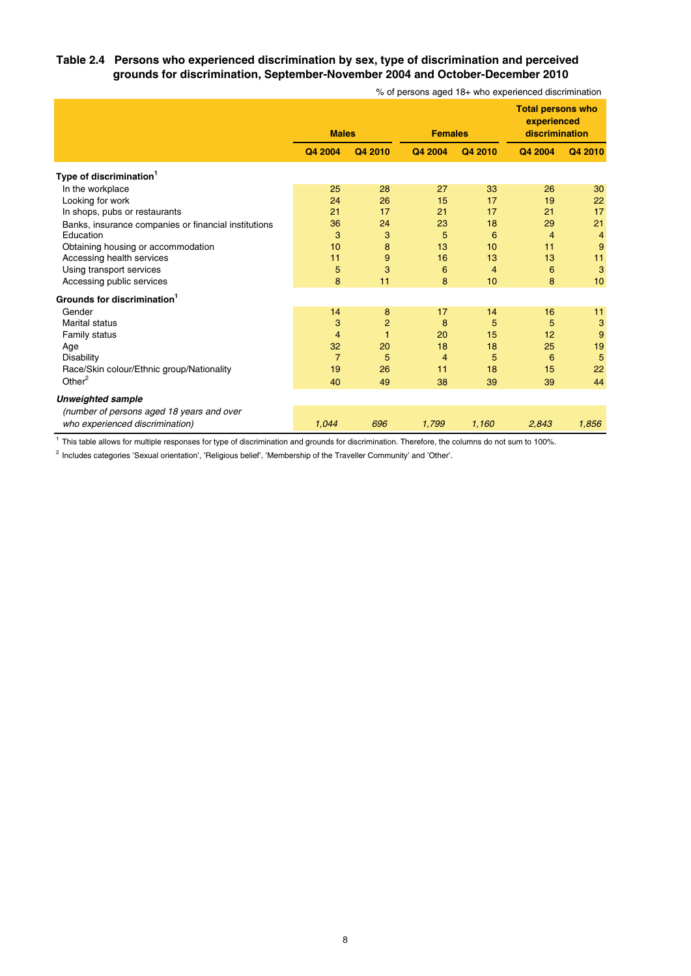### **Table 2.4 Persons who experienced discrimination by sex, type of discrimination and perceived grounds for discrimination, September-November 2004 and October-December 2010**

|                                                      | <b>Males</b>   |                | <b>Females</b> |                | <b>Total persons who</b><br>experienced<br>discrimination |                |
|------------------------------------------------------|----------------|----------------|----------------|----------------|-----------------------------------------------------------|----------------|
|                                                      | Q4 2004        | Q4 2010        | Q4 2004        | Q4 2010        | Q4 2004                                                   | Q4 2010        |
| Type of discrimination <sup>1</sup>                  |                |                |                |                |                                                           |                |
| In the workplace                                     | 25             | 28             | 27             | 33             | 26                                                        | 30             |
| Looking for work                                     | 24             | 26             | 15             | 17             | 19                                                        | 22             |
| In shops, pubs or restaurants                        | 21             | 17             | 21             | 17             | 21                                                        | 17             |
| Banks, insurance companies or financial institutions | 36             | 24             | 23             | 18             | 29                                                        | 21             |
| Education                                            | 3              | 3              | 5              | 6              | $\overline{4}$                                            | $\overline{4}$ |
| Obtaining housing or accommodation                   | 10             | 8              | 13             | 10             | 11                                                        | 9              |
| Accessing health services                            | 11             | 9              | 16             | 13             | 13                                                        | 11             |
| Using transport services                             | 5              | 3              | 6              | $\overline{4}$ | 6                                                         | 3              |
| Accessing public services                            | 8              | 11             | 8              | 10             | 8                                                         | 10             |
| Grounds for discrimination <sup>1</sup>              |                |                |                |                |                                                           |                |
| Gender                                               | 14             | 8              | 17             | 14             | 16                                                        | 11             |
| <b>Marital status</b>                                | 3              | $\overline{2}$ | 8              | 5              | 5                                                         | 3              |
| <b>Family status</b>                                 | 4              | 1              | 20             | 15             | 12                                                        | 9              |
| Age                                                  | 32             | 20             | 18             | 18             | 25                                                        | 19             |
| <b>Disability</b>                                    | $\overline{7}$ | 5              | $\overline{4}$ | 5              | 6                                                         | 5              |
| Race/Skin colour/Ethnic group/Nationality            | 19             | 26             | 11             | 18             | 15                                                        | 22             |
| Other $2$                                            | 40             | 49             | 38             | 39             | 39                                                        | 44             |
| <b>Unweighted sample</b>                             |                |                |                |                |                                                           |                |
| (number of persons aged 18 years and over            |                |                |                |                |                                                           |                |
| who experienced discrimination)                      | 1,044          | 696            | 1,799          | 1,160          | 2,843                                                     | 1,856          |

% of persons aged 18+ who experienced discrimination

1 This table allows for multiple responses for type of discrimination and grounds for discrimination. Therefore, the columns do not sum to 100%.

 $2$  Includes categories 'Sexual orientation', 'Religious belief', 'Membership of the Traveller Community' and 'Other'.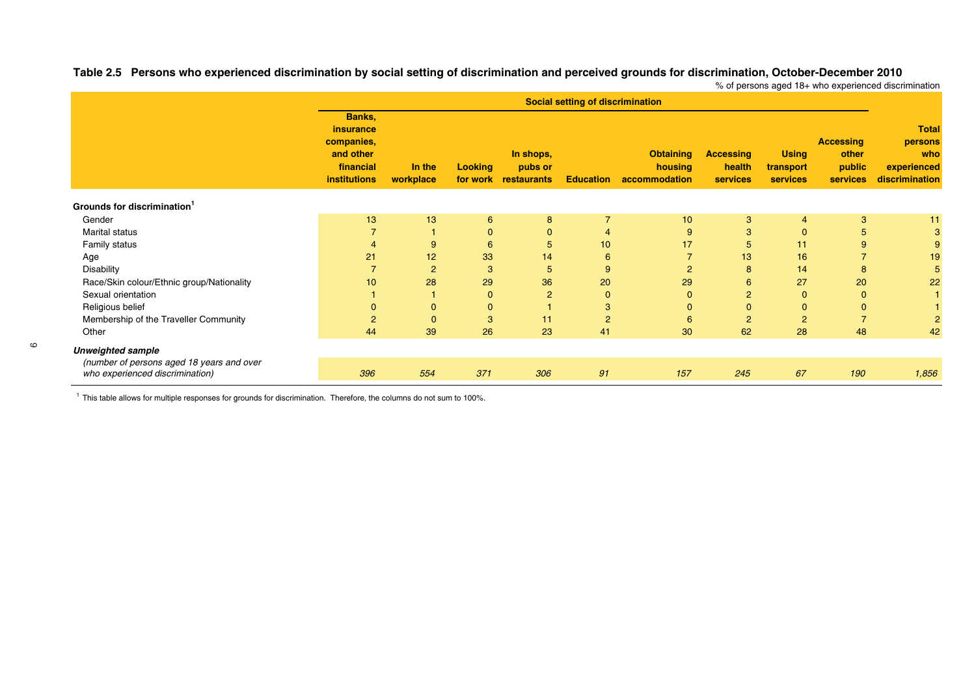**Banks, insurance**e and the state of the state of the state of the state of the state of the state of the state of the state of the **companies, Accessing persons and other In shops, Obtaining Accessing Using other who financial In the Looking pubs or housing health transport public experienced** institutions workplace for work restaurants Education accommodation services services services discrimination **Grounds for discrimination<sup>1</sup>** Gender 13 13 6 8 7 10 3 4 3 11 $11$ Marital status 7 1 0 0 4 9 3 0 5 3Family status 4 9 6 5 10 17 5 11 9 9 Age 21 21 12 33 14 6 7 13 16 7 19 Disability 7 2 3 5 9 2 8 14 8 5 Race/Skin colour/Ethnic group/Nationality 10 28 29 36 20 29 36 29 5 27 20 22 Sexual orientation 1 1 0 2 0 0 2 0 0 1Religious belief 0 0 0 1 3 0 0 0 0 1 Membership of the Traveller Community 2 0 3 11 2 6 2 2 7 2 Other 44 39 26 23 41 30 62 28 48 4242 *Unweighted sample* **Social setting of discrimination**

Table 2.5 Persons who experienced discrimination by social setting of discrimination and perceived grounds for discrimination, October-December 2010 % of persons aged 18+ who experienced discrimination

| nweighted sample                          |     |     |     |                |     |            |    |     |       |
|-------------------------------------------|-----|-----|-----|----------------|-----|------------|----|-----|-------|
| (number of persons aged 18 years and over |     |     |     |                |     |            |    |     |       |
| who experienced discrimination)           | 396 | ، ت | 306 | Q <sub>1</sub> | 157 | 2AE<br>240 | 67 | 190 | 1,856 |

 $1$  This table allows for multiple responses for grounds for discrimination. Therefore, the columns do not sum to 100%.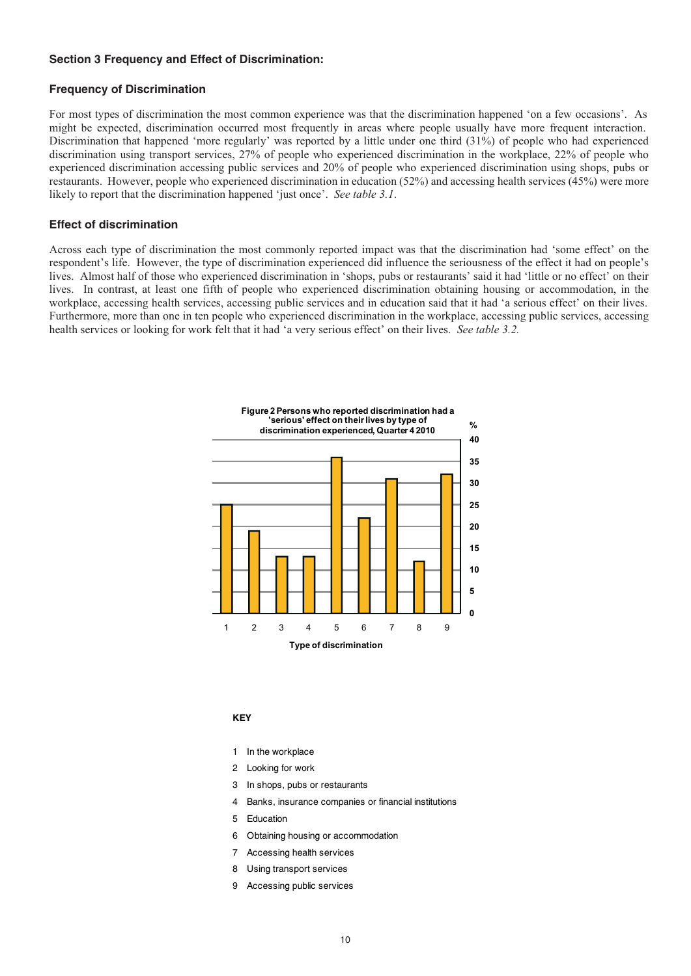#### **Section 3 Frequency and Effect of Discrimination:**

#### **Frequency of Discrimination**

For most types of discrimination the most common experience was that the discrimination happened 'on a few occasions'. As might be expected, discrimination occurred most frequently in areas where people usually have more frequent interaction. Discrimination that happened 'more regularly' was reported by a little under one third (31%) of people who had experienced discrimination using transport services, 27% of people who experienced discrimination in the workplace, 22% of people who experienced discrimination accessing public services and 20% of people who experienced discrimination using shops, pubs or restaurants. However, people who experienced discrimination in education (52%) and accessing health services (45%) were more likely to report that the discrimination happened 'just once'. *See table 3.1*.

#### **Effect of discrimination**

Across each type of discrimination the most commonly reported impact was that the discrimination had 'some effect' on the respondent's life. However, the type of discrimination experienced did influence the seriousness of the effect it had on people's lives. Almost half of those who experienced discrimination in 'shops, pubs or restaurants' said it had 'little or no effect' on their lives. In contrast, at least one fifth of people who experienced discrimination obtaining housing or accommodation, in the workplace, accessing health services, accessing public services and in education said that it had 'a serious effect' on their lives. Furthermore, more than one in ten people who experienced discrimination in the workplace, accessing public services, accessing health services or looking for work felt that it had 'a very serious effect' on their lives. *See table 3.2.*



#### **KEY**

- 1 In the workplace
- 2 Looking for work
- 3 In shops, pubs or restaurants
- 4 Banks, insurance companies or financial institutions
- 5 Education
- 6 Obtaining housing or accommodation
- 7 Accessing health services
- 8 Using transport services
- 9 Accessing public services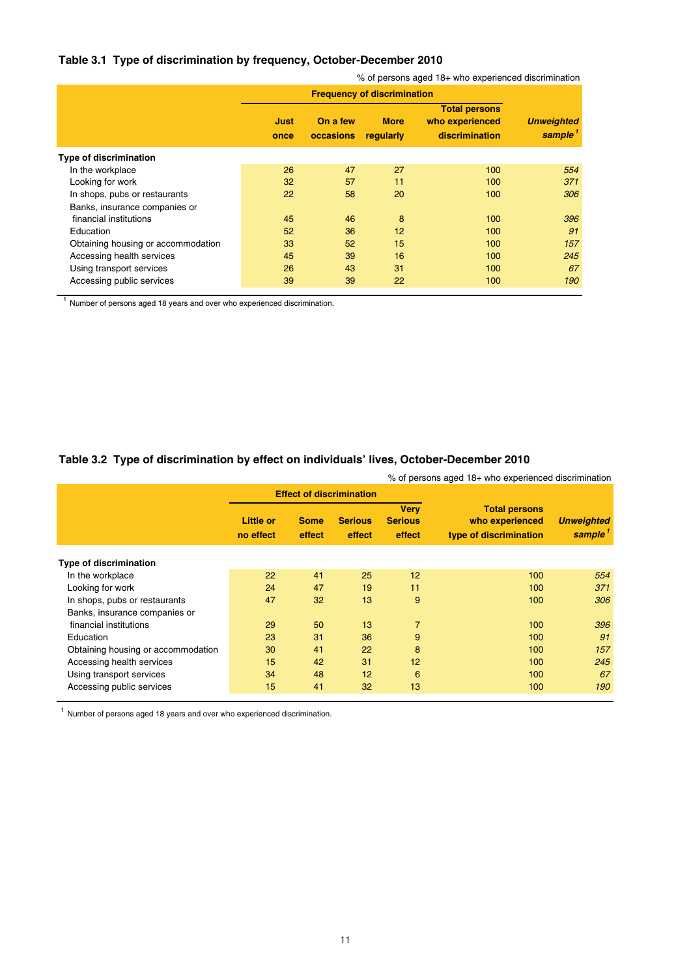# **Table 3.1 Type of discrimination by frequency, October-December 2010**

|                                    | % of persons aged 18+ who experienced discrimination |                                    |                          |                                                           |                                          |  |  |  |  |  |
|------------------------------------|------------------------------------------------------|------------------------------------|--------------------------|-----------------------------------------------------------|------------------------------------------|--|--|--|--|--|
|                                    |                                                      | <b>Frequency of discrimination</b> |                          |                                                           |                                          |  |  |  |  |  |
|                                    | Just<br>once                                         | On a few<br>occasions              | <b>More</b><br>regularly | <b>Total persons</b><br>who experienced<br>discrimination | <b>Unweighted</b><br>sample <sup>1</sup> |  |  |  |  |  |
| <b>Type of discrimination</b>      |                                                      |                                    |                          |                                                           |                                          |  |  |  |  |  |
| In the workplace                   | 26                                                   | 47                                 | 27                       | 100                                                       | 554                                      |  |  |  |  |  |
| Looking for work                   | 32                                                   | 57                                 | 11                       | 100                                                       | 371                                      |  |  |  |  |  |
| In shops, pubs or restaurants      | 22                                                   | 58                                 | 20                       | 100                                                       | 306                                      |  |  |  |  |  |
| Banks, insurance companies or      |                                                      |                                    |                          |                                                           |                                          |  |  |  |  |  |
| financial institutions             | 45                                                   | 46                                 | 8                        | 100                                                       | 396                                      |  |  |  |  |  |
| Education                          | 52                                                   | 36                                 | 12                       | 100                                                       | 91                                       |  |  |  |  |  |
| Obtaining housing or accommodation | 33                                                   | 52                                 | 15                       | 100                                                       | 157                                      |  |  |  |  |  |
| Accessing health services          | 45                                                   | 39                                 | 16                       | 100                                                       | 245                                      |  |  |  |  |  |
| Using transport services           | 26                                                   | 43                                 | 31                       | 100                                                       | 67                                       |  |  |  |  |  |
| Accessing public services          | 39                                                   | 39                                 | 22                       | 100                                                       | 190                                      |  |  |  |  |  |

<sup>1</sup> Number of persons aged 18 years and over who experienced discrimination.

# **Table 3.2 Type of discrimination by effect on individuals' lives, October-December 2010**

|                                    |                               | % of persons aged 18+ who experienced discrimination |                                 |                                         |                                                                   |                                          |  |  |  |
|------------------------------------|-------------------------------|------------------------------------------------------|---------------------------------|-----------------------------------------|-------------------------------------------------------------------|------------------------------------------|--|--|--|
|                                    |                               |                                                      | <b>Effect of discrimination</b> |                                         |                                                                   |                                          |  |  |  |
|                                    | <b>Little or</b><br>no effect | <b>Some</b><br>effect                                | <b>Serious</b><br>effect        | <b>Very</b><br><b>Serious</b><br>effect | <b>Total persons</b><br>who experienced<br>type of discrimination | <b>Unweighted</b><br>sample <sup>1</sup> |  |  |  |
| <b>Type of discrimination</b>      |                               |                                                      |                                 |                                         |                                                                   |                                          |  |  |  |
| In the workplace                   | 22                            | 41                                                   | 25                              | 12                                      | 100                                                               | 554                                      |  |  |  |
| Looking for work                   | 24                            | 47                                                   | 19                              | 11                                      | 100                                                               | 371                                      |  |  |  |
| In shops, pubs or restaurants      | 47                            | 32                                                   | 13                              | 9                                       | 100                                                               | 306                                      |  |  |  |
| Banks, insurance companies or      |                               |                                                      |                                 |                                         |                                                                   |                                          |  |  |  |
| financial institutions             | 29                            | 50                                                   | 13                              | $\overline{7}$                          | 100                                                               | 396                                      |  |  |  |
| Education                          | 23                            | 31                                                   | 36                              | 9                                       | 100                                                               | 91                                       |  |  |  |
| Obtaining housing or accommodation | 30                            | 41                                                   | 22                              | 8                                       | 100                                                               | 157                                      |  |  |  |
| Accessing health services          | 15                            | 42                                                   | 31                              | 12                                      | 100                                                               | 245                                      |  |  |  |
| Using transport services           | 34                            | 48                                                   | 12                              | 6                                       | 100                                                               | 67                                       |  |  |  |
| Accessing public services          | 15                            | 41                                                   | 32                              | 13                                      | 100                                                               | 190                                      |  |  |  |

 $1$  Number of persons aged 18 years and over who experienced discrimination.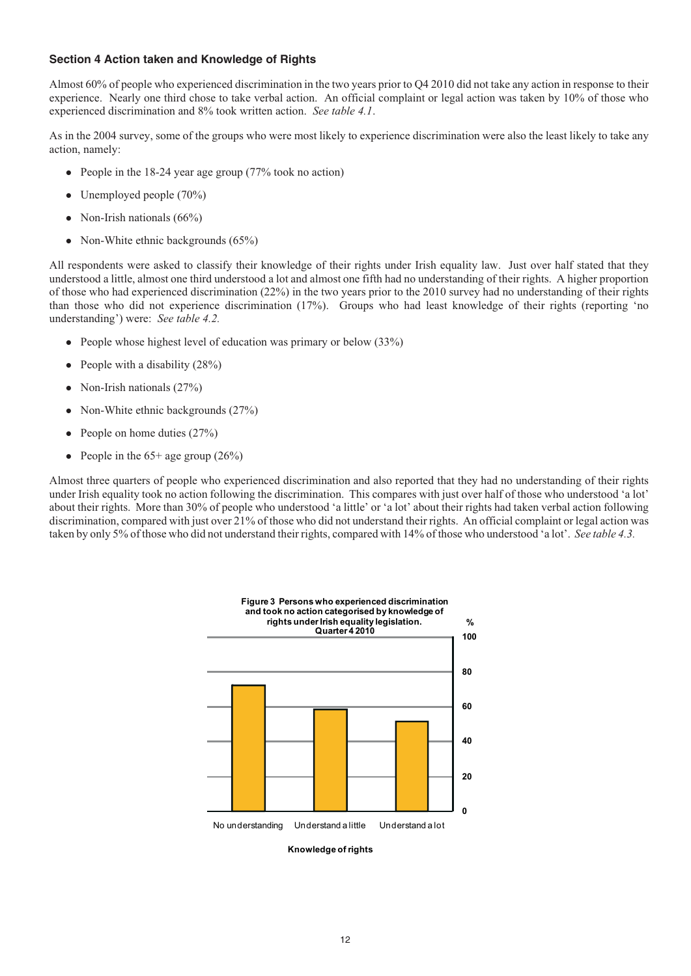#### **Section 4 Action taken and Knowledge of Rights**

Almost 60% of people who experienced discrimination in the two years prior to Q4 2010 did not take any action in response to their experience. Nearly one third chose to take verbal action. An official complaint or legal action was taken by 10% of those who experienced discrimination and 8% took written action. *See table 4.1*.

As in the 2004 survey, some of the groups who were most likely to experience discrimination were also the least likely to take any action, namely:

- People in the 18-24 year age group (77% took no action)
- Unemployed people (70%)
- Non-Irish nationals (66%)
- Non-White ethnic backgrounds (65%)

All respondents were asked to classify their knowledge of their rights under Irish equality law. Just over half stated that they understood a little, almost one third understood a lot and almost one fifth had no understanding of their rights. A higher proportion of those who had experienced discrimination (22%) in the two years prior to the 2010 survey had no understanding of their rights than those who did not experience discrimination (17%). Groups who had least knowledge of their rights (reporting 'no understanding') were: *See table 4.2.*

- People whose highest level of education was primary or below (33%)
- People with a disability (28%)
- Non-Irish nationals (27%)
- Non-White ethnic backgrounds (27%)
- $\bullet$ People on home duties (27%)
- People in the  $65+$  age group  $(26%)$

Almost three quarters of people who experienced discrimination and also reported that they had no understanding of their rights under Irish equality took no action following the discrimination. This compares with just over half of those who understood 'a lot' about their rights. More than 30% of people who understood 'a little' or 'a lot' about their rights had taken verbal action following discrimination, compared with just over 21% of those who did not understand their rights. An official complaint or legal action was taken by only 5% of those who did not understand their rights, compared with 14% of those who understood 'a lot'. *See table 4.3.*



**Knowledge of rights**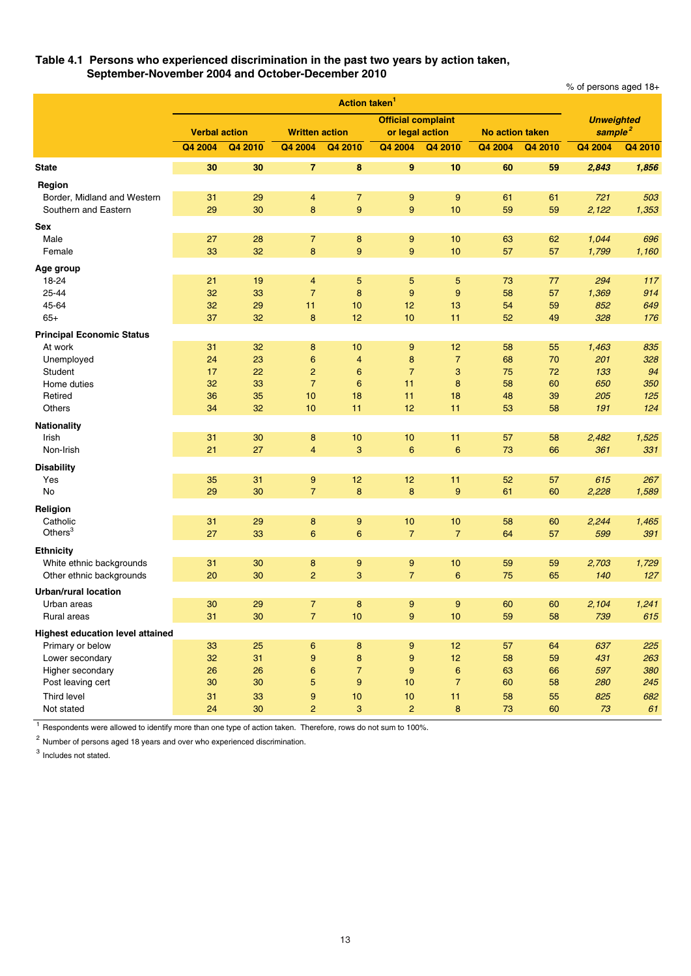#### **Table 4.1 Persons who experienced discrimination in the past two years by action taken, September-November 2004 and October-December 2010**

% of persons aged 18+

|                                         |                      |                 |                       | Action taken <sup>1</sup> |                                              |                  |                        |         |                                          |         |
|-----------------------------------------|----------------------|-----------------|-----------------------|---------------------------|----------------------------------------------|------------------|------------------------|---------|------------------------------------------|---------|
|                                         | <b>Verbal action</b> |                 | <b>Written action</b> |                           | <b>Official complaint</b><br>or legal action |                  | <b>No action taken</b> |         | <b>Unweighted</b><br>sample <sup>2</sup> |         |
|                                         | Q4 2004              | Q4 2010         | Q4 2004               | Q4 2010                   | Q4 2004                                      | Q4 2010          | Q4 2004                | Q4 2010 | Q4 2004                                  | Q4 2010 |
| <b>State</b>                            | 30                   | 30              | $\overline{7}$        | 8                         | 9                                            | 10               | 60                     | 59      | 2,843                                    | 1,856   |
| Region                                  |                      |                 |                       |                           |                                              |                  |                        |         |                                          |         |
| Border, Midland and Western             | 31                   | 29              | 4                     | $\overline{7}$            | 9                                            | $\overline{9}$   | 61                     | 61      | 721                                      | 503     |
| Southern and Eastern                    | 29                   | 30              | 8                     | 9                         | 9                                            | 10               | 59                     | 59      | 2,122                                    | 1,353   |
| <b>Sex</b>                              |                      |                 |                       |                           |                                              |                  |                        |         |                                          |         |
| Male                                    | 27                   | 28              | $\overline{7}$        | 8                         | 9                                            | 10               | 63                     | 62      | 1,044                                    | 696     |
| Female                                  | 33                   | 32              | 8                     | 9                         | 9                                            | 10               | 57                     | 57      | 1,799                                    | 1,160   |
| Age group                               |                      |                 |                       |                           |                                              |                  |                        |         |                                          |         |
| 18-24                                   | 21                   | 19              | 4                     | 5                         | 5                                            | 5                | 73                     | 77      | 294                                      | 117     |
| 25-44                                   | 32                   | 33              | $\overline{7}$        | 8                         | 9                                            | 9                | 58                     | 57      | 1,369                                    | 914     |
| 45-64                                   | 32                   | 29              | 11                    | 10                        | 12                                           | 13               | 54                     | 59      | 852                                      | 649     |
| $65+$                                   | 37                   | 32              | 8                     | 12                        | 10                                           | 11               | 52                     | 49      | 328                                      | 176     |
| <b>Principal Economic Status</b>        |                      |                 |                       |                           |                                              |                  |                        |         |                                          |         |
| At work                                 | 31                   | 32              | 8                     | 10                        | 9                                            | 12               | 58                     | 55      | 1,463                                    | 835     |
| Unemployed                              | 24                   | 23              | 6                     | 4                         | 8                                            | $\overline{7}$   | 68                     | 70      | 201                                      | 328     |
| Student                                 | 17                   | 22              | $\overline{2}$        | 6                         | $\overline{7}$                               | 3                | 75                     | 72      | 133                                      | 94      |
| Home duties                             | 32                   | 33              | $\overline{7}$        | 6                         | 11                                           | 8                | 58                     | 60      | 650                                      | 350     |
| Retired                                 | 36                   | 35              | 10                    | 18                        | 11                                           | 18               | 48                     | 39      | 205                                      | 125     |
| Others                                  | 34                   | 32              | 10                    | 11                        | 12                                           | 11               | 53                     | 58      | 191                                      | 124     |
| <b>Nationality</b>                      |                      |                 |                       |                           |                                              |                  |                        |         |                                          |         |
| Irish                                   | 31                   | 30              | 8                     | 10                        | 10                                           | 11               | 57                     | 58      | 2,482                                    | 1,525   |
| Non-Irish                               | 21                   | 27              | $\overline{4}$        | 3                         | 6                                            | 6                | 73                     | 66      | 361                                      | 331     |
| <b>Disability</b>                       |                      |                 |                       |                           |                                              |                  |                        |         |                                          |         |
| Yes                                     | 35                   | 31              | 9                     | 12                        | 12                                           | 11               | 52                     | 57      | 615                                      | 267     |
| No                                      | 29                   | 30              | $\overline{7}$        | 8                         | 8                                            | 9                | 61                     | 60      | 2,228                                    | 1,589   |
| Religion                                |                      |                 |                       |                           |                                              |                  |                        |         |                                          |         |
| Catholic                                | 31                   | 29              | 8                     | 9                         | 10                                           | 10               | 58                     | 60      | 2,244                                    | 1,465   |
| Others $3$                              | 27                   | 33              | 6                     | 6                         | $\overline{7}$                               | $\overline{7}$   | 64                     | 57      | 599                                      | 391     |
| <b>Ethnicity</b>                        |                      |                 |                       |                           |                                              |                  |                        |         |                                          |         |
| White ethnic backgrounds                | 31                   | 30              | 8                     | 9                         | 9                                            | 10               | 59                     | 59      | 2,703                                    | 1,729   |
| Other ethnic backgrounds                | 20                   | 30              | $\overline{2}$        | 3                         | $\overline{7}$                               | 6                | 75                     | 65      | 140                                      | 127     |
| <b>Urban/rural location</b>             |                      |                 |                       |                           |                                              |                  |                        |         |                                          |         |
| Urban areas                             | 30                   | 29              | 7                     | 8                         | 9                                            | 9                | 60                     | 60      | 2,104                                    | 1,241   |
| Rural areas                             | 31                   | 30              | 7 <sup>7</sup>        | $10$                      | 9                                            | 10               | 59                     | 58      | 739                                      | 615     |
| <b>Highest education level attained</b> |                      |                 |                       |                           |                                              |                  |                        |         |                                          |         |
| Primary or below                        | 33                   | 25              | 6                     | 8                         | 9                                            | 12               | 57                     | 64      | 637                                      | 225     |
| Lower secondary                         | 32                   | 31              | 9                     | 8                         | 9                                            | 12               | 58                     | 59      | 431                                      | 263     |
| Higher secondary                        | 26                   | 26              | 6                     | $\overline{7}$            | 9                                            | $\boldsymbol{6}$ | 63                     | 66      | 597                                      | 380     |
| Post leaving cert                       | 30                   | 30 <sub>o</sub> | 5                     | 9                         | 10                                           | $\overline{7}$   | 60                     | 58      | 280                                      | 245     |
| Third level                             | 31                   | 33              | 9                     | 10                        | 10                                           | 11               | 58                     | 55      | 825                                      | 682     |
| Not stated                              | 24                   | 30              | $\overline{c}$        | 3                         | $\overline{c}$                               | 8                | 73                     | 60      | 73                                       | 61      |
|                                         |                      |                 |                       |                           |                                              |                  |                        |         |                                          |         |

<sup>1</sup> Respondents were allowed to identify more than one type of action taken. Therefore, rows do not sum to 100%.

 $2$  Number of persons aged 18 years and over who experienced discrimination.

<sup>3</sup> Includes not stated.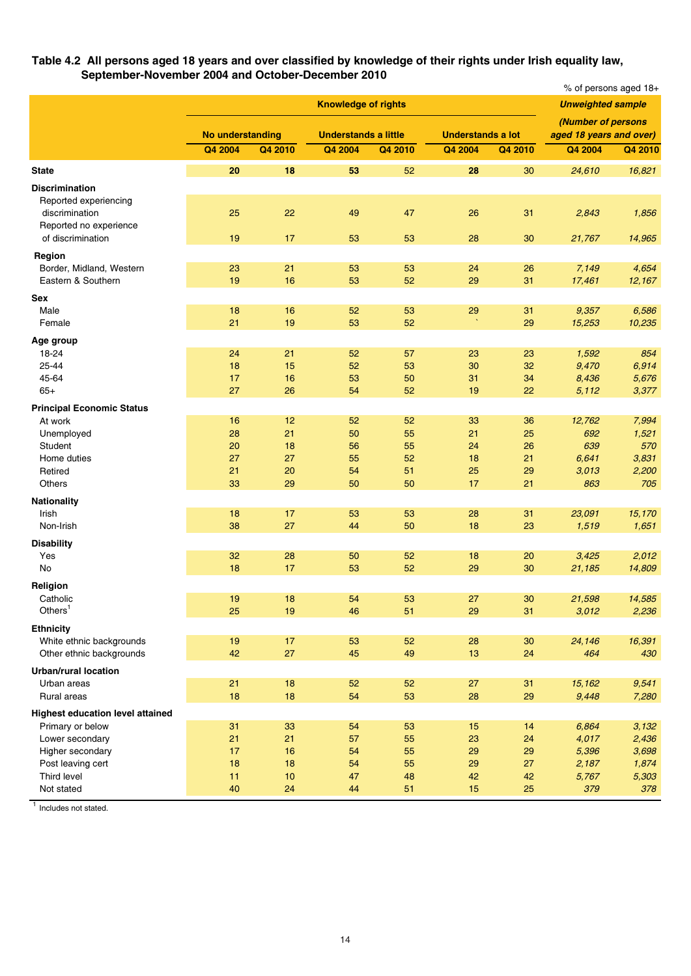#### **Table 4.2 All persons aged 18 years and over classified by knowledge of their rights under Irish equality law, September-November 2004 and October-December 2010**

|                                         |                         | % of persons aged 18+ |                             |         |                          |         |                                               |         |
|-----------------------------------------|-------------------------|-----------------------|-----------------------------|---------|--------------------------|---------|-----------------------------------------------|---------|
|                                         |                         |                       | <b>Knowledge of rights</b>  |         |                          |         | <b>Unweighted sample</b>                      |         |
|                                         | <b>No understanding</b> |                       | <b>Understands a little</b> |         | <b>Understands a lot</b> |         | (Number of persons<br>aged 18 years and over) |         |
|                                         | Q4 2004                 | Q4 2010               | Q4 2004                     | Q4 2010 | Q4 2004                  | Q4 2010 | Q4 2004                                       | Q4 2010 |
| <b>State</b>                            | 20                      | 18                    | 53                          | 52      | 28                       | 30      | 24,610                                        | 16,821  |
| <b>Discrimination</b>                   |                         |                       |                             |         |                          |         |                                               |         |
| Reported experiencing                   |                         |                       |                             |         |                          |         |                                               |         |
| discrimination                          | 25                      | 22                    | 49                          | 47      | 26                       | 31      | 2,843                                         | 1,856   |
| Reported no experience                  |                         |                       |                             |         |                          |         |                                               |         |
| of discrimination                       | 19                      | 17                    | 53                          | 53      | 28                       | 30      | 21,767                                        | 14,965  |
| Region                                  |                         |                       |                             |         |                          |         |                                               |         |
| Border, Midland, Western                | 23                      | 21                    | 53                          | 53      | 24                       | 26      | 7,149                                         | 4,654   |
| Eastern & Southern                      | 19                      | 16                    | 53                          | 52      | 29                       | 31      | 17,461                                        | 12,167  |
| Sex                                     |                         |                       |                             |         |                          |         |                                               |         |
| Male                                    | 18                      | 16                    | 52                          | 53      | 29                       | 31      | 9,357                                         | 6,586   |
| Female                                  | 21                      | 19                    | 53                          | 52      | $\boldsymbol{\lambda}$   | 29      | 15,253                                        | 10,235  |
| Age group                               |                         |                       |                             |         |                          |         |                                               |         |
| 18-24                                   | 24                      | 21                    | 52                          | 57      | 23                       | 23      | 1,592                                         | 854     |
| 25-44                                   | 18                      | 15                    | 52                          | 53      | 30                       | 32      | 9,470                                         | 6,914   |
| 45-64                                   | 17                      | 16                    | 53                          | 50      | 31                       | 34      | 8,436                                         | 5,676   |
| $65+$                                   | 27                      | 26                    | 54                          | 52      | 19                       | 22      | 5,112                                         | 3,377   |
| <b>Principal Economic Status</b>        |                         |                       |                             |         |                          |         |                                               |         |
| At work                                 | 16                      | 12                    | 52                          | 52      | 33                       | 36      | 12,762                                        | 7,994   |
| Unemployed                              | 28                      | 21                    | 50                          | 55      | 21                       | 25      | 692                                           | 1,521   |
| Student                                 | 20                      | 18                    | 56                          | 55      | 24                       | 26      | 639                                           | 570     |
| Home duties                             | 27                      | 27                    | 55                          | 52      | 18                       | 21      | 6,641                                         | 3,831   |
| Retired                                 | 21                      | 20                    | 54                          | 51      | 25                       | 29      | 3,013                                         | 2,200   |
| Others                                  | 33                      | 29                    | 50                          | 50      | 17                       | 21      | 863                                           | 705     |
| <b>Nationality</b>                      |                         |                       |                             |         |                          |         |                                               |         |
| Irish                                   | 18                      | 17                    | 53                          | 53      | 28                       | 31      | 23,091                                        | 15,170  |
| Non-Irish                               | 38                      | 27                    | 44                          | 50      | 18                       | 23      | 1,519                                         | 1,651   |
| <b>Disability</b>                       |                         |                       |                             |         |                          |         |                                               |         |
| Yes                                     | 32                      | 28                    | 50                          | 52      | 18                       | 20      | 3,425                                         | 2,012   |
| No                                      | 18                      | 17                    | 53                          | 52      | 29                       | 30      | 21,185                                        | 14,809  |
| Religion                                |                         |                       |                             |         |                          |         |                                               |         |
| Catholic                                | 19                      | 18                    | 54                          | 53      | 27                       | 30      | 21,598                                        | 14,585  |
| Others <sup>1</sup>                     | 25                      | 19                    | 46                          | 51      | 29                       | 31      | 3,012                                         | 2,236   |
| <b>Ethnicity</b>                        |                         |                       |                             |         |                          |         |                                               |         |
| White ethnic backgrounds                | 19                      | 17                    | 53                          | 52      | 28                       | 30      | 24,146                                        | 16,391  |
| Other ethnic backgrounds                | 42                      | 27                    | 45                          | 49      | 13                       | 24      | 464                                           | 430     |
| <b>Urban/rural location</b>             |                         |                       |                             |         |                          |         |                                               |         |
| Urban areas                             | 21                      | 18                    | 52                          | 52      | 27                       | 31      | 15,162                                        | 9,541   |
| Rural areas                             | 18                      | 18                    | 54                          | 53      | 28                       | 29      | 9,448                                         | 7,280   |
| <b>Highest education level attained</b> |                         |                       |                             |         |                          |         |                                               |         |
| Primary or below                        | 31                      | 33                    | 54                          | 53      | 15                       | 14      | 6,864                                         | 3,132   |
| Lower secondary                         | 21                      | 21                    | 57                          | 55      | 23                       | 24      | 4,017                                         | 2,436   |
| Higher secondary                        | 17                      | 16                    | 54                          | 55      | 29                       | 29      | 5,396                                         | 3,698   |
| Post leaving cert                       | 18                      | 18                    | 54                          | 55      | 29                       | 27      | 2,187                                         | 1,874   |
| Third level                             | 11                      | 10                    | 47                          | 48      | 42                       | 42      | 5,767                                         | 5,303   |
| Not stated                              | 40                      | 24                    | 44                          | 51      | 15                       | 25      | 379                                           | 378     |

<sup>1</sup> Includes not stated.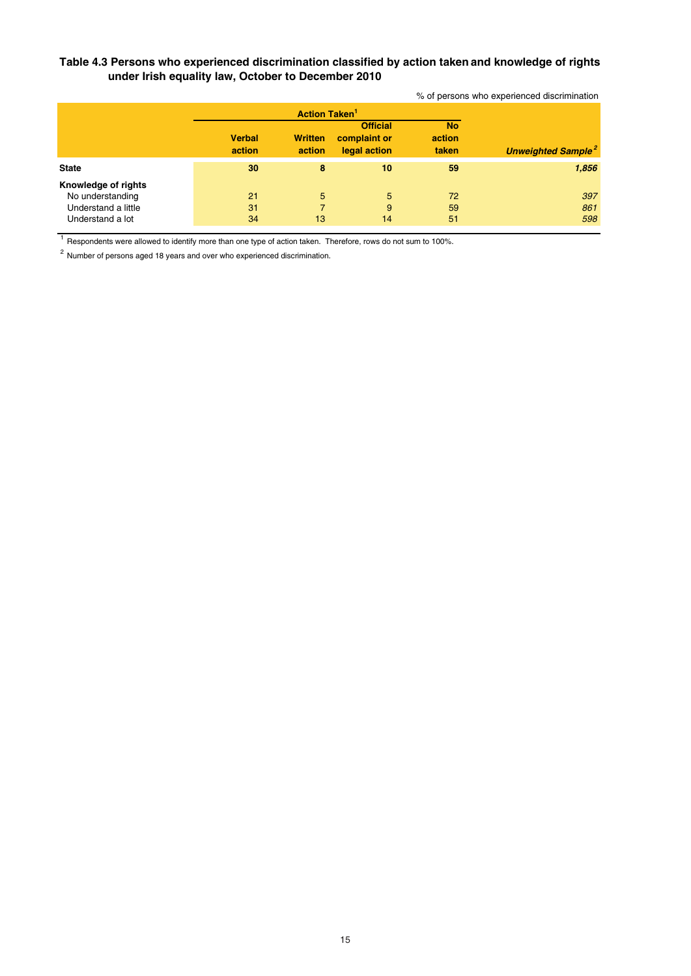# **Table 4.3 Persons who experienced discrimination classified by action taken and knowledge of rights under Irish equality law, October to December 2010**

% of persons who experienced discrimination

|                                                                                    |                         | <b>Action Taken<sup>1</sup></b> |                                                 |                              |                                      |
|------------------------------------------------------------------------------------|-------------------------|---------------------------------|-------------------------------------------------|------------------------------|--------------------------------------|
|                                                                                    | <b>Verbal</b><br>action | <b>Written</b><br>action        | <b>Official</b><br>complaint or<br>legal action | <b>No</b><br>action<br>taken | <b>Unweighted Sample<sup>2</sup></b> |
| <b>State</b>                                                                       | 30                      | 8                               | 10                                              | 59                           | 1,856                                |
| Knowledge of rights<br>No understanding<br>Understand a little<br>Understand a lot | 21<br>31<br>34          | 5<br>7<br>13                    | 5<br>9<br>14                                    | 72<br>59<br>51               | 397<br>861<br>598                    |

<sup>1</sup> Respondents were allowed to identify more than one type of action taken. Therefore, rows do not sum to 100%.

 $2$  Number of persons aged 18 years and over who experienced discrimination.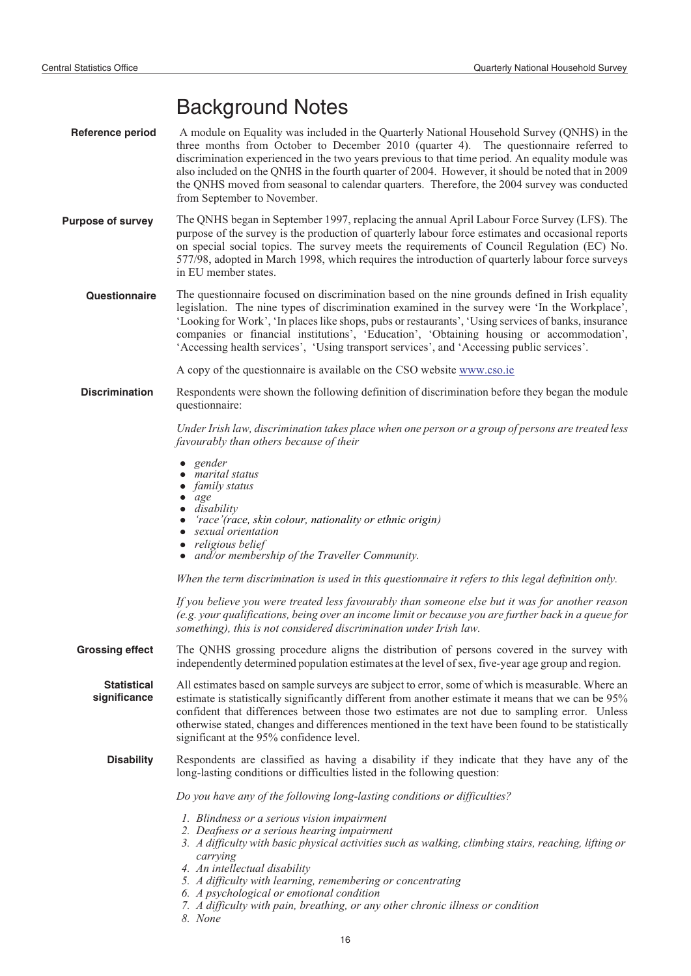# Background Notes

- **Reference period** A module on Equality was included in the Quarterly National Household Survey (QNHS) in the three months from October to December 2010 (quarter 4). The questionnaire referred to discrimination experienced in the two years previous to that time period. An equality module was also included on the QNHS in the fourth quarter of 2004. However, it should be noted that in 2009 the QNHS moved from seasonal to calendar quarters. Therefore, the 2004 survey was conducted from September to November.
- **Purpose of survey** The QNHS began in September 1997, replacing the annual April Labour Force Survey (LFS). The purpose of the survey is the production of quarterly labour force estimates and occasional reports on special social topics. The survey meets the requirements of Council Regulation (EC) No. 577/98, adopted in March 1998, which requires the introduction of quarterly labour force surveys in EU member states.

**Questionnaire** The questionnaire focused on discrimination based on the nine grounds defined in Irish equality legislation. The nine types of discrimination examined in the survey were 'In the Workplace', 'Looking for Work', 'In places like shops, pubs or restaurants', 'Using services of banks, insurance companies or financial institutions', 'Education', 'Obtaining housing or accommodation', 'Accessing health services', 'Using transport services', and 'Accessing public services'.

A copy of the questionnaire is available on the CSO website www.cso.ie

**Discrimination** Respondents were shown the following definition of discrimination before they began the module questionnaire:

> *Under Irish law, discrimination takes place when one person or a group of persons are treated less favourably than others because of their*

- *gender* -
- *marital status*<br>• *family status*
- *family status* -
- *age*<br>● *dise*
- *disability* -
- *'race'(race, skin colour, nationality or ethnic origin)* -
- *sexual orientation*
- *religious belief*<br>• *and/or member*
- *and/or membership of the Traveller Community.*

*When the term discrimination is used in this questionnaire it refers to this legal definition only.*

*If you believe you were treated less favourably than someone else but it was for another reason (e.g. your qualifications, being over an income limit or because you are further back in a queue for something), this is not considered discrimination under Irish law.*

**Grossing effect** The QNHS grossing procedure aligns the distribution of persons covered in the survey with independently determined population estimates at the level of sex, five-year age group and region.

**Statistical significance** All estimates based on sample surveys are subject to error, some of which is measurable. Where an estimate is statistically significantly different from another estimate it means that we can be 95% confident that differences between those two estimates are not due to sampling error. Unless otherwise stated, changes and differences mentioned in the text have been found to be statistically significant at the 95% confidence level.

**Disability** Respondents are classified as having a disability if they indicate that they have any of the long-lasting conditions or difficulties listed in the following question:

*Do you have any of the following long-lasting conditions or difficulties?*

- *1. Blindness or a serious vision impairment*
- *2. Deafness or a serious hearing impairment*
- *3. A difficulty with basic physical activities such as walking, climbing stairs, reaching, lifting or carrying*
- *4. An intellectual disability*
- *5. A difficulty with learning, remembering or concentrating*
- *6. A psychological or emotional condition*
- *7. A difficulty with pain, breathing, or any other chronic illness or condition*
- *8. None*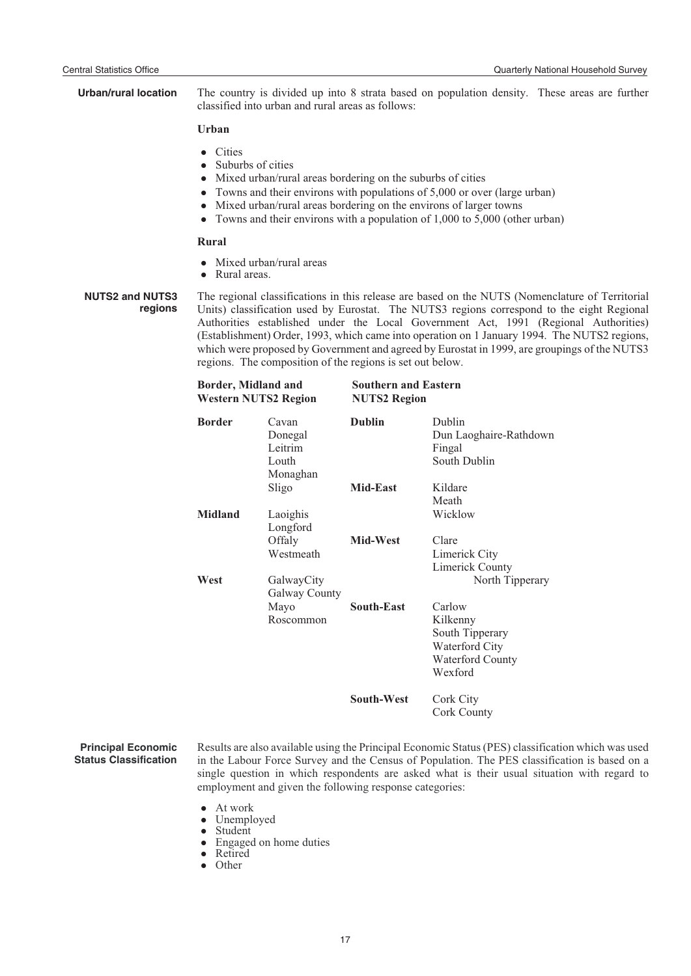| <b>Urban/rural location</b>       | The country is divided up into 8 strata based on population density. These areas are further<br>classified into urban and rural areas as follows:                                                                                                                                                                                                                                                                                                                                                                                                 |                                                  |               |                                                                                        |  |  |
|-----------------------------------|---------------------------------------------------------------------------------------------------------------------------------------------------------------------------------------------------------------------------------------------------------------------------------------------------------------------------------------------------------------------------------------------------------------------------------------------------------------------------------------------------------------------------------------------------|--------------------------------------------------|---------------|----------------------------------------------------------------------------------------|--|--|
|                                   | Urban                                                                                                                                                                                                                                                                                                                                                                                                                                                                                                                                             |                                                  |               |                                                                                        |  |  |
|                                   | <b>Cities</b><br>$\bullet$<br>Suburbs of cities<br>Mixed urban/rural areas bordering on the suburbs of cities<br>Towns and their environs with populations of 5,000 or over (large urban)<br>Mixed urban/rural areas bordering on the environs of larger towns<br>Towns and their environs with a population of 1,000 to 5,000 (other urban)<br>$\bullet$                                                                                                                                                                                         |                                                  |               |                                                                                        |  |  |
|                                   | Rural                                                                                                                                                                                                                                                                                                                                                                                                                                                                                                                                             |                                                  |               |                                                                                        |  |  |
|                                   | Rural areas.<br>$\bullet$                                                                                                                                                                                                                                                                                                                                                                                                                                                                                                                         | Mixed urban/rural areas                          |               |                                                                                        |  |  |
| <b>NUTS2 and NUTS3</b><br>regions | The regional classifications in this release are based on the NUTS (Nomenclature of Territorial<br>Units) classification used by Eurostat. The NUTS3 regions correspond to the eight Regional<br>Authorities established under the Local Government Act, 1991 (Regional Authorities)<br>(Establishment) Order, 1993, which came into operation on 1 January 1994. The NUTS2 regions,<br>which were proposed by Government and agreed by Eurostat in 1999, are groupings of the NUTS3<br>regions. The composition of the regions is set out below. |                                                  |               |                                                                                        |  |  |
|                                   | <b>Southern and Eastern</b><br>Border, Midland and<br><b>Western NUTS2 Region</b><br><b>NUTS2 Region</b>                                                                                                                                                                                                                                                                                                                                                                                                                                          |                                                  |               |                                                                                        |  |  |
|                                   | <b>Border</b>                                                                                                                                                                                                                                                                                                                                                                                                                                                                                                                                     | Cavan<br>Donegal<br>Leitrim<br>Louth<br>Monaghan | <b>Dublin</b> | Dublin<br>Dun Laoghaire-Rathdown<br>Fingal<br>South Dublin                             |  |  |
|                                   |                                                                                                                                                                                                                                                                                                                                                                                                                                                                                                                                                   | Sligo                                            | Mid-East      | Kildare                                                                                |  |  |
|                                   | <b>Midland</b>                                                                                                                                                                                                                                                                                                                                                                                                                                                                                                                                    | Laoighis<br>Longford                             |               | Meath<br>Wicklow                                                                       |  |  |
|                                   |                                                                                                                                                                                                                                                                                                                                                                                                                                                                                                                                                   | Offaly<br>Westmeath                              | Mid-West      | Clare<br>Limerick City<br>Limerick County                                              |  |  |
|                                   | West                                                                                                                                                                                                                                                                                                                                                                                                                                                                                                                                              | GalwayCity<br>Galway County                      |               | North Tipperary                                                                        |  |  |
|                                   |                                                                                                                                                                                                                                                                                                                                                                                                                                                                                                                                                   | Mayo<br>Roscommon                                | South-East    | Carlow<br>Kilkenny<br>South Tipperary<br>Waterford City<br>Waterford County<br>Wexford |  |  |

**South-West** Cork City Cork County

#### **Principal Economic Status Classification**

Results are also available using the Principal Economic Status (PES) classification which was used in the Labour Force Survey and the Census of Population. The PES classification is based on a single question in which respondents are asked what is their usual situation with regard to employment and given the following response categories:

- -• At work<br>• Unemplo
- Unemployed<br>• Student
- Student
- Engaged on home duties
- Retired<br>• Other
- Other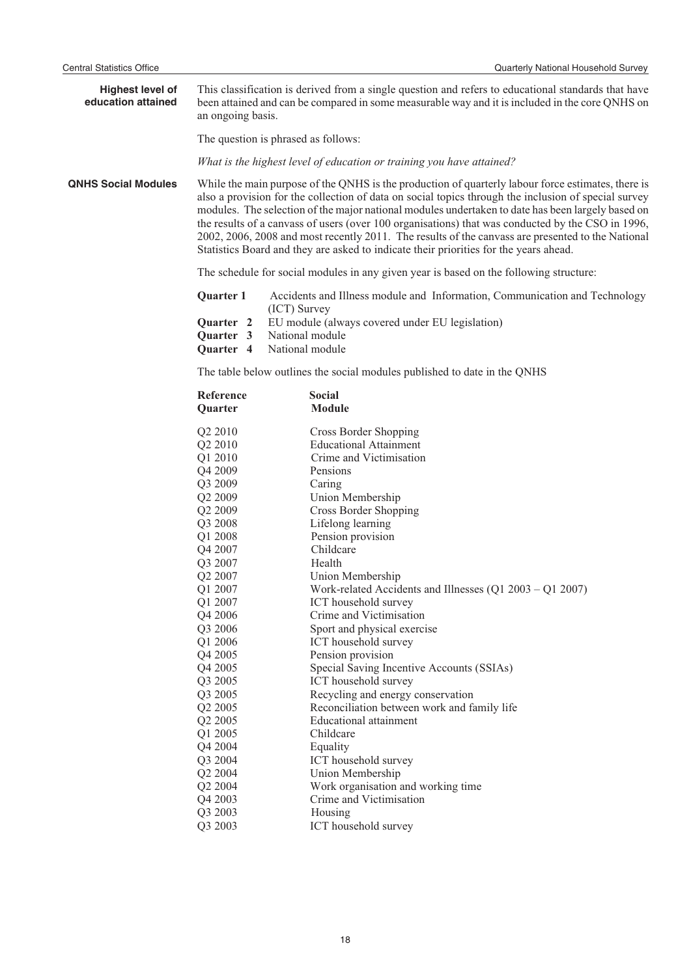| <b>Highest level of</b><br>education attained | an ongoing basis.                                                                                                                                                                                                                                                                                                                                                                                                                                                                                                                                                                                                  | This classification is derived from a single question and refers to educational standards that have<br>been attained and can be compared in some measurable way and it is included in the core QNHS on                                                                                                                                                                                                                                                                                                                                                                                                                                    |  |  |  |
|-----------------------------------------------|--------------------------------------------------------------------------------------------------------------------------------------------------------------------------------------------------------------------------------------------------------------------------------------------------------------------------------------------------------------------------------------------------------------------------------------------------------------------------------------------------------------------------------------------------------------------------------------------------------------------|-------------------------------------------------------------------------------------------------------------------------------------------------------------------------------------------------------------------------------------------------------------------------------------------------------------------------------------------------------------------------------------------------------------------------------------------------------------------------------------------------------------------------------------------------------------------------------------------------------------------------------------------|--|--|--|
|                                               | The question is phrased as follows:                                                                                                                                                                                                                                                                                                                                                                                                                                                                                                                                                                                |                                                                                                                                                                                                                                                                                                                                                                                                                                                                                                                                                                                                                                           |  |  |  |
|                                               | What is the highest level of education or training you have attained?                                                                                                                                                                                                                                                                                                                                                                                                                                                                                                                                              |                                                                                                                                                                                                                                                                                                                                                                                                                                                                                                                                                                                                                                           |  |  |  |
| <b>QNHS Social Modules</b>                    | While the main purpose of the QNHS is the production of quarterly labour force estimates, there is<br>also a provision for the collection of data on social topics through the inclusion of special survey<br>modules. The selection of the major national modules undertaken to date has been largely based on<br>the results of a canvass of users (over 100 organisations) that was conducted by the CSO in 1996,<br>2002, 2006, 2008 and most recently 2011. The results of the canvass are presented to the National<br>Statistics Board and they are asked to indicate their priorities for the years ahead. |                                                                                                                                                                                                                                                                                                                                                                                                                                                                                                                                                                                                                                           |  |  |  |
|                                               | The schedule for social modules in any given year is based on the following structure:                                                                                                                                                                                                                                                                                                                                                                                                                                                                                                                             |                                                                                                                                                                                                                                                                                                                                                                                                                                                                                                                                                                                                                                           |  |  |  |
|                                               | Quarter 1                                                                                                                                                                                                                                                                                                                                                                                                                                                                                                                                                                                                          | Accidents and Illness module and Information, Communication and Technology                                                                                                                                                                                                                                                                                                                                                                                                                                                                                                                                                                |  |  |  |
|                                               | (ICT) Survey<br>Quarter <sub>2</sub><br>Quarter 3<br>Quarter 4                                                                                                                                                                                                                                                                                                                                                                                                                                                                                                                                                     | EU module (always covered under EU legislation)<br>National module<br>National module                                                                                                                                                                                                                                                                                                                                                                                                                                                                                                                                                     |  |  |  |
|                                               |                                                                                                                                                                                                                                                                                                                                                                                                                                                                                                                                                                                                                    | The table below outlines the social modules published to date in the QNHS                                                                                                                                                                                                                                                                                                                                                                                                                                                                                                                                                                 |  |  |  |
|                                               | Reference<br>Quarter                                                                                                                                                                                                                                                                                                                                                                                                                                                                                                                                                                                               | <b>Social</b><br><b>Module</b>                                                                                                                                                                                                                                                                                                                                                                                                                                                                                                                                                                                                            |  |  |  |
|                                               | Q <sub>2</sub> 2010<br>Q2 2010<br>Q1 2010<br>Q4 2009<br>Q3 2009<br>Q2 2009<br>Q2 2009<br>Q3 2008<br>Q1 2008<br>Q4 2007<br>Q3 2007<br>Q2 2007<br>Q1 2007<br>Q1 2007<br>Q4 2006<br>Q3 2006<br>Q1 2006<br>Q4 2005<br>Q4 2005<br>Q3 2005<br>Q3 2005<br>Q2 2005<br>Q2 2005                                                                                                                                                                                                                                                                                                                                              | Cross Border Shopping<br><b>Educational Attainment</b><br>Crime and Victimisation<br>Pensions<br>Caring<br>Union Membership<br><b>Cross Border Shopping</b><br>Lifelong learning<br>Pension provision<br>Childcare<br>Health<br>Union Membership<br>Work-related Accidents and Illnesses $(Q1\ 2003 - Q1\ 2007)$<br>ICT household survey<br>Crime and Victimisation<br>Sport and physical exercise<br>ICT household survey<br>Pension provision<br>Special Saving Incentive Accounts (SSIAs)<br>ICT household survey<br>Recycling and energy conservation<br>Reconciliation between work and family life<br><b>Educational attainment</b> |  |  |  |
|                                               | Q1 2005<br>Q4 2004<br>Q3 2004<br>Q2 2004<br>Q2 2004<br>Q4 2003<br>Q3 2003<br>Q3 2003                                                                                                                                                                                                                                                                                                                                                                                                                                                                                                                               | Childcare<br>Equality<br>ICT household survey<br>Union Membership<br>Work organisation and working time<br>Crime and Victimisation<br>Housing<br>ICT household survey                                                                                                                                                                                                                                                                                                                                                                                                                                                                     |  |  |  |
|                                               |                                                                                                                                                                                                                                                                                                                                                                                                                                                                                                                                                                                                                    |                                                                                                                                                                                                                                                                                                                                                                                                                                                                                                                                                                                                                                           |  |  |  |